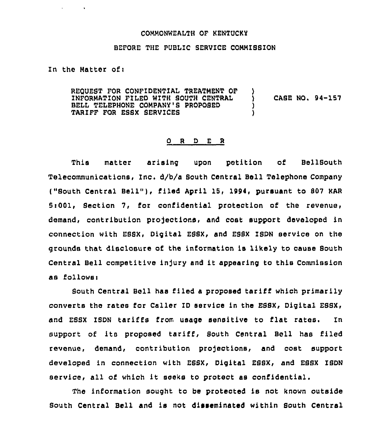## COMMONWEALTH OF KENTUCKY

## BEFORE THE PUBLIC SERVICE COMMIBBION

In the Matter of:

**Contract Contract** 

REQUEST FOR CONFIDENTIAL TREATMENT OF INFORMATION FILED NITH SOUTH CENTRAL BELL TELEPHONE COMPANY'S PROPOSED TARIFF FOR ESSX SERYICES ) ) CASE NO. 94-157 ) )

## 0 <sup>R</sup> <sup>D</sup> E R

This matter arising upon petition of BellBouth Telecommunications, Inc. d/b/a South Central Bell Telephone Company ("South Central Bell"), filed April 15, 1994, pursuant to 807 KAR 5~001, Section 7, for confidential protection of the revenue, demand, contribution projections, and cost support developed in connection with EBSX, Digital ESSX, and ESSX ISDN service on the grounds that disclosure of the information is likely to cause Bouth Central Bell competitive infury and it appearing to this Commission as follows:

South Central Bell has filed <sup>a</sup> proposed tariff which primarily converts the rates for Caller ID service in the EBBX, Digital ESSX, and ESSX IBDN tariffs from usage sensitive to flat rates. In support of its proposed tariff, South Central Boll has filed revenue, demand, contribution projections, and cost support developed in connection with ESSX, Digital EBBX, and ESSX ISDN service, all of which it seeks to protect as confidential.

The information sought to be protected is not known outside South Central Bell and is not disseminated within South Central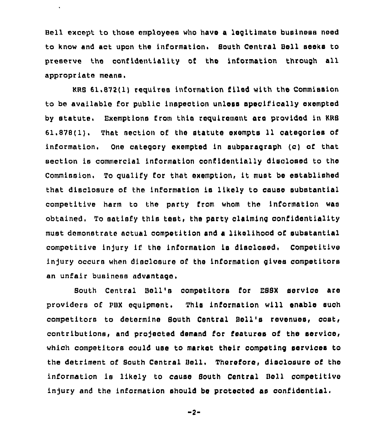Bell except to those employees who have a legitimate business need to know and act upon the information. South Central Bell seeks to preserve the confidentiality of tho information through all appropriate means.

 $\hat{\mathbf{r}}$ 

KRB 61.872(l) requires information filed with tho Commission to be available for public inspection unless specifically exempted by statute. Exemptions from this requirement are provided in KRS 61.878(1). That section of the statute oxempts 11 categories of information. One category exempted in subparagraph (c) of that section is commercial information confidentially disclosed to tho Commission. To qualify for that exemption, it must be established that disclosure cf the information ie likoly to cause substantial competitive harm to the party from whom the information wao obtained, To satisfy this test, the party claiming confidentiality must demonstrate actual oompetition and a likolihood of substantial competitive in)ury if the information is disclosed, Competitive injury occurs when disclosure of the information gives competitors an unfair business advantage,

South Central Boll'e competitors for ESSX service are providers of PBX equipment. This information will onablo such competitors to determine South Central Boll's rovonuos, cost, contributions, and projected demand for features of the service, which competitors oould use to markot thoir competing sorvioes to the detriment of South Central Bell, Thoroforo, disolosuro of tho information is likely to cause South Central Boll competitive injury and the information should be protected as confidential.

 $-2-$